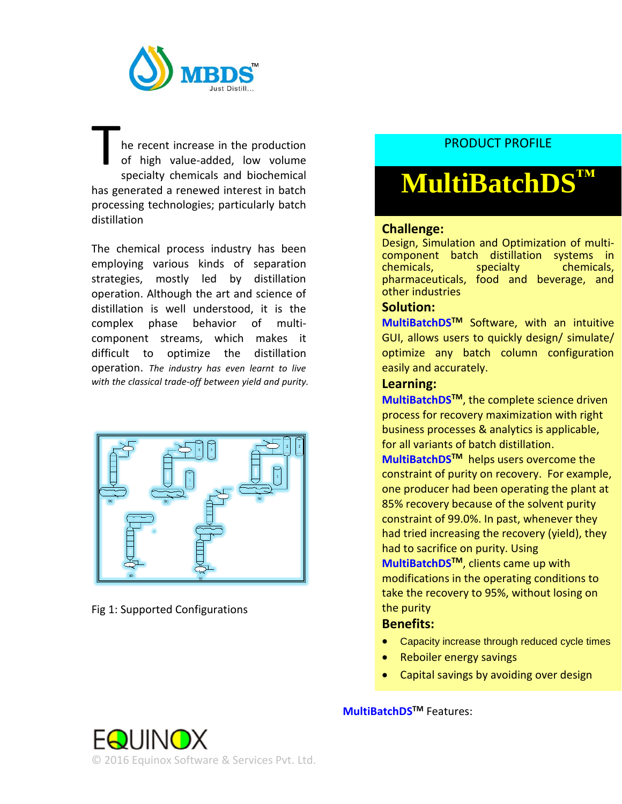

he recent increase in the production of high value-added, low volume specialty chemicals and biochemical has generated a renewed interest in batch processing technologies; particularly batch distillation T

The chemical process industry has been employing various kinds of separation strategies, mostly led by distillation operation. Although the art and science of distillation is well understood, it is the complex phase behavior of multicomponent streams, which makes it difficult to optimize the distillation operation. *The industry has even learnt to live with the classical trade-off between yield and purity.*



Fig 1: Supported Configurations

# PRODUCT PROFILE

# **MultiBatchDS™**

## **Challenge:**

Design, Simulation and Optimization of multicomponent batch distillation systems in<br>
chemicals, specialty bechemicals, chemicals, pharmaceuticals, food and beverage, and other industries

#### **Solution:**

**MultiBatchDSTM** Software, with an intuitive GUI, allows users to quickly design/ simulate/ optimize any batch column configuration easily and accurately.

#### **Learning:**

**MultiBatchDSTM**, the complete science driven process for recovery maximization with right business processes & analytics is applicable, for all variants of batch distillation.

**MultiBatchDSTM** helps users overcome the constraint of purity on recovery. For example, one producer had been operating the plant at 85% recovery because of the solvent purity constraint of 99.0%. In past, whenever they had tried increasing the recovery (yield), they had to sacrifice on purity. Using **MultiBatchDSTM**, clients came up with modifications in the operating conditions to take the recovery to 95%, without losing on the purity

### **Benefits:**

- Capacity increase through reduced cycle times
- Reboiler energy savings
- Capital savings by avoiding over design

**MultiBatchDSTM** Features: